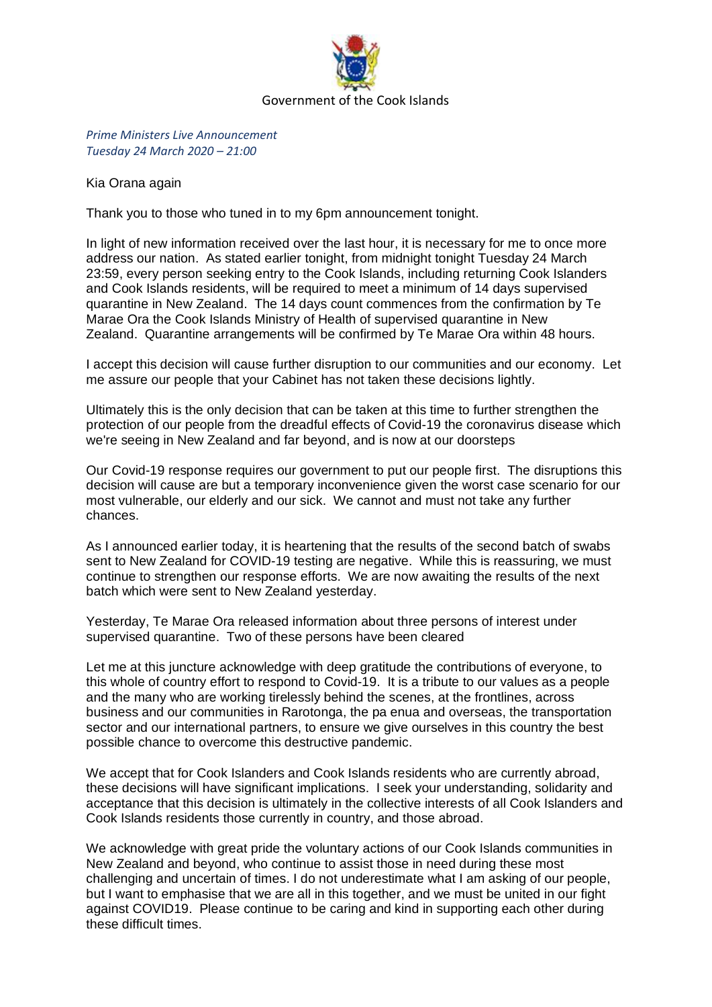

*Prime Ministers Live Announcement Tuesday 24 March 2020 – 21:00*

Kia Orana again

Thank you to those who tuned in to my 6pm announcement tonight.

In light of new information received over the last hour, it is necessary for me to once more address our nation. As stated earlier tonight, from midnight tonight Tuesday 24 March 23:59, every person seeking entry to the Cook Islands, including returning Cook Islanders and Cook Islands residents, will be required to meet a minimum of 14 days supervised quarantine in New Zealand. The 14 days count commences from the confirmation by Te Marae Ora the Cook Islands Ministry of Health of supervised quarantine in New Zealand. Quarantine arrangements will be confirmed by Te Marae Ora within 48 hours.

I accept this decision will cause further disruption to our communities and our economy. Let me assure our people that your Cabinet has not taken these decisions lightly.

Ultimately this is the only decision that can be taken at this time to further strengthen the protection of our people from the dreadful effects of Covid-19 the coronavirus disease which we're seeing in New Zealand and far beyond, and is now at our doorsteps

Our Covid-19 response requires our government to put our people first. The disruptions this decision will cause are but a temporary inconvenience given the worst case scenario for our most vulnerable, our elderly and our sick. We cannot and must not take any further chances.

As I announced earlier today, it is heartening that the results of the second batch of swabs sent to New Zealand for COVID-19 testing are negative. While this is reassuring, we must continue to strengthen our response efforts. We are now awaiting the results of the next batch which were sent to New Zealand yesterday.

Yesterday, Te Marae Ora released information about three persons of interest under supervised quarantine. Two of these persons have been cleared

Let me at this juncture acknowledge with deep gratitude the contributions of everyone, to this whole of country effort to respond to Covid-19. It is a tribute to our values as a people and the many who are working tirelessly behind the scenes, at the frontlines, across business and our communities in Rarotonga, the pa enua and overseas, the transportation sector and our international partners, to ensure we give ourselves in this country the best possible chance to overcome this destructive pandemic.

We accept that for Cook Islanders and Cook Islands residents who are currently abroad, these decisions will have significant implications. I seek your understanding, solidarity and acceptance that this decision is ultimately in the collective interests of all Cook Islanders and Cook Islands residents those currently in country, and those abroad.

We acknowledge with great pride the voluntary actions of our Cook Islands communities in New Zealand and beyond, who continue to assist those in need during these most challenging and uncertain of times. I do not underestimate what I am asking of our people, but I want to emphasise that we are all in this together, and we must be united in our fight against COVID19. Please continue to be caring and kind in supporting each other during these difficult times.